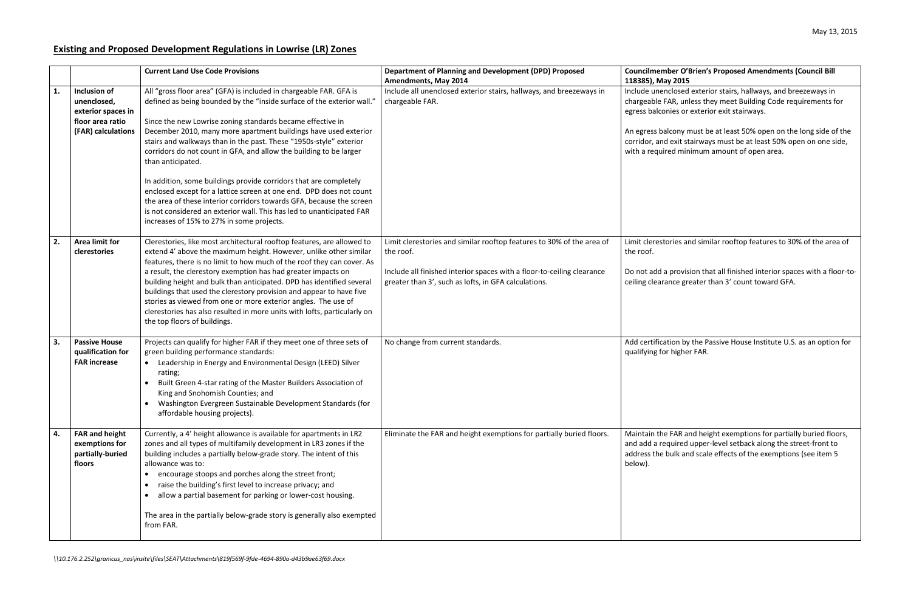## **Existing and Proposed Development Regulations in Lowrise (LR) Zones**

## **ber O'Brien's Proposed Amendments (Council Bill 118385), May 2015**

Inclosed exterior stairs, hallways, and breezeways in AR, unless they meet Building Code requirements for nies or exterior exit stairways.

Icony must be at least 50% open on the long side of the exit stairways must be at least 50% open on one side, ed minimum amount of open area.

pries and similar rooftop features to 30% of the area of

provision that all finished interior spaces with a floor-tonce greater than 3' count toward GFA.

tion by the Passive House Institute U.S. as an option for higher FAR.

**ELIMINAT ENGROUT FILMINAT FAR and height exemptions for partially buried floors,** quired upper-level setback along the street-front to bulk and scale effects of the exemptions (see item 5

|    |                                                                                             | <b>Current Land Use Code Provisions</b>                                                                                                                                                                                                                                                                                                                                                                                                                                                                                                                                                                                                                                                                                                                                                  | Department of Planning and Development (DPD) Proposed<br><b>Amendments, May 2014</b>                                                                                                                                 | Councilmemb<br>118385), May                                                                        |
|----|---------------------------------------------------------------------------------------------|------------------------------------------------------------------------------------------------------------------------------------------------------------------------------------------------------------------------------------------------------------------------------------------------------------------------------------------------------------------------------------------------------------------------------------------------------------------------------------------------------------------------------------------------------------------------------------------------------------------------------------------------------------------------------------------------------------------------------------------------------------------------------------------|----------------------------------------------------------------------------------------------------------------------------------------------------------------------------------------------------------------------|----------------------------------------------------------------------------------------------------|
| 1. | Inclusion of<br>unenclosed,<br>exterior spaces in<br>floor area ratio<br>(FAR) calculations | All "gross floor area" (GFA) is included in chargeable FAR. GFA is<br>defined as being bounded by the "inside surface of the exterior wall."<br>Since the new Lowrise zoning standards became effective in<br>December 2010, many more apartment buildings have used exterior<br>stairs and walkways than in the past. These "1950s-style" exterior<br>corridors do not count in GFA, and allow the building to be larger<br>than anticipated.<br>In addition, some buildings provide corridors that are completely<br>enclosed except for a lattice screen at one end. DPD does not count<br>the area of these interior corridors towards GFA, because the screen<br>is not considered an exterior wall. This has led to unanticipated FAR<br>increases of 15% to 27% in some projects. | Include all unenclosed exterior stairs, hallways, and breezeways in<br>chargeable FAR.                                                                                                                               | Include unen<br>chargeable F/<br>egress balcon<br>An egress bal<br>corridor, and<br>with a require |
| 2. | <b>Area limit for</b><br>clerestories                                                       | Clerestories, like most architectural rooftop features, are allowed to<br>extend 4' above the maximum height. However, unlike other similar<br>features, there is no limit to how much of the roof they can cover. As<br>a result, the clerestory exemption has had greater impacts on<br>building height and bulk than anticipated. DPD has identified several<br>buildings that used the clerestory provision and appear to have five<br>stories as viewed from one or more exterior angles. The use of<br>clerestories has also resulted in more units with lofts, particularly on<br>the top floors of buildings.                                                                                                                                                                    | Limit clerestories and similar rooftop features to 30% of the area of<br>the roof.<br>Include all finished interior spaces with a floor-to-ceiling clearance<br>greater than 3', such as lofts, in GFA calculations. | Limit cleresto<br>the roof.<br>Do not add a<br>ceiling cleara                                      |
| 3. | <b>Passive House</b><br>qualification for<br><b>FAR increase</b>                            | Projects can qualify for higher FAR if they meet one of three sets of<br>green building performance standards:<br>Leadership in Energy and Environmental Design (LEED) Silver<br>$\bullet$<br>rating;<br>Built Green 4-star rating of the Master Builders Association of<br>King and Snohomish Counties; and<br>Washington Evergreen Sustainable Development Standards (for<br>affordable housing projects).                                                                                                                                                                                                                                                                                                                                                                             | No change from current standards.                                                                                                                                                                                    |                                                                                                    |
| 4. | <b>FAR and height</b><br>exemptions for<br>partially-buried<br>floors                       | Currently, a 4' height allowance is available for apartments in LR2<br>zones and all types of multifamily development in LR3 zones if the<br>building includes a partially below-grade story. The intent of this<br>allowance was to:<br>encourage stoops and porches along the street front;<br>raise the building's first level to increase privacy; and<br>allow a partial basement for parking or lower-cost housing.<br>$\bullet$<br>The area in the partially below-grade story is generally also exempted<br>from FAR.                                                                                                                                                                                                                                                            | Eliminate the FAR and height exemptions for partially buried floors.                                                                                                                                                 | Maintain the<br>and add a rec<br>address the b<br>below).                                          |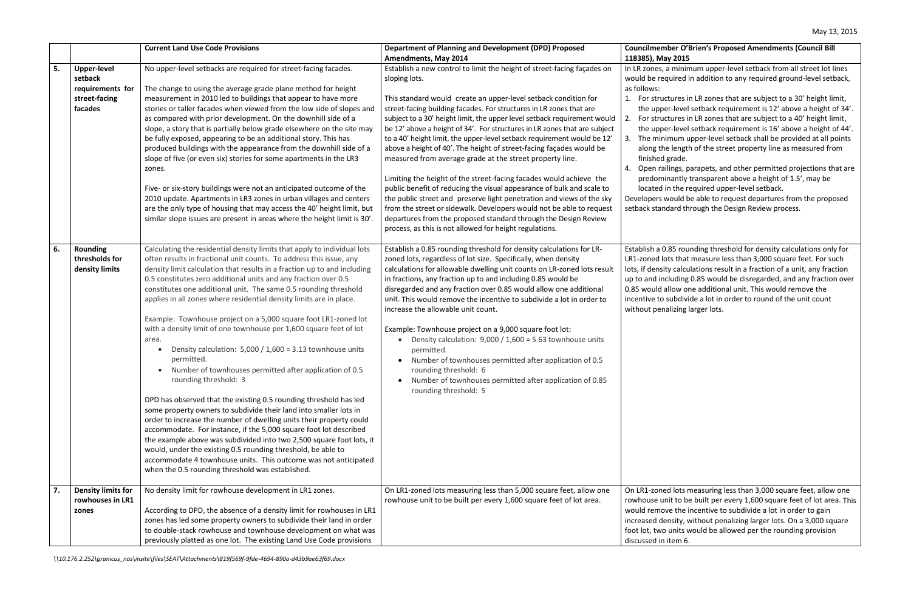## **Council Bill Serve O'Brien's Proposed Amendments (Council Bill 118385), May 2015**

minimum upper-level setback from all street lot lines uired in addition to any required ground-level setback,

tures in LR zones that are subject to a 30' height limit,  $t$ -level setback requirement is 12' above a height of 34'. zures in LR zones that are subject to a 40' height limit, -level setback requirement is 16' above a height of 44'. num upper-level setback shall be provided at all points length of the street property line as measured from rade.

ings, parapets, and other permitted projections that are antly transparent above a height of 1.5', may be I the required upper-level setback.

ould be able to request departures from the proposed ard through the Design Review process.

B5 rounding threshold for density calculations only for s that measure less than 3,000 square feet. For such  $\alpha$  calculations result in a fraction of a unit, any fraction uding 0.85 would be disregarded, and any fraction over low one additional unit. This would remove the ubdivide a lot in order to round of the unit count lizing larger lots.

I lots measuring less than 3,000 square feet, allow one t to be built per every 1,600 square feet of lot area. This e the incentive to subdivide a lot in order to gain isity, without penalizing larger lots. On a 3,000 square anits would be allowed per the rounding provision tem 6.

|    |                           | <b>Current Land Use Code Provisions</b>                                                                                                   | Department of Planning and Development (DPD) Proposed                                                                                         | Councilmemb                     |
|----|---------------------------|-------------------------------------------------------------------------------------------------------------------------------------------|-----------------------------------------------------------------------------------------------------------------------------------------------|---------------------------------|
|    |                           |                                                                                                                                           | <b>Amendments, May 2014</b>                                                                                                                   | 118385), May                    |
| 5. | <b>Upper-level</b>        | No upper-level setbacks are required for street-facing facades.                                                                           | Establish a new control to limit the height of street-facing façades on                                                                       | In LR zones, a                  |
|    | setback                   |                                                                                                                                           | sloping lots.                                                                                                                                 | would be requ                   |
|    | requirements for          | The change to using the average grade plane method for height                                                                             |                                                                                                                                               | as follows:                     |
|    | street-facing             | measurement in 2010 led to buildings that appear to have more                                                                             | This standard would create an upper-level setback condition for                                                                               | 1. For struct                   |
|    | facades                   | stories or taller facades when viewed from the low side of slopes and                                                                     | street-facing building facades. For structures in LR zones that are                                                                           | the upper                       |
|    |                           | as compared with prior development. On the downhill side of a                                                                             | subject to a 30' height limit, the upper level setback requirement would                                                                      | 2.<br>For struct                |
|    |                           | slope, a story that is partially below grade elsewhere on the site may                                                                    | be 12' above a height of 34'. For structures in LR zones that are subject                                                                     | the upper                       |
|    |                           | be fully exposed, appearing to be an additional story. This has                                                                           | to a 40' height limit, the upper-level setback requirement would be 12'                                                                       | The minin<br>3.                 |
|    |                           | produced buildings with the appearance from the downhill side of a                                                                        | above a height of 40'. The height of street-facing façades would be                                                                           | along the                       |
|    |                           | slope of five (or even six) stories for some apartments in the LR3                                                                        | measured from average grade at the street property line.                                                                                      | finished gr                     |
|    |                           | zones.                                                                                                                                    |                                                                                                                                               | 4. Open raili                   |
|    |                           |                                                                                                                                           | Limiting the height of the street-facing facades would achieve the<br>public benefit of reducing the visual appearance of bulk and scale to   | predomin<br>located in          |
|    |                           | Five- or six-story buildings were not an anticipated outcome of the<br>2010 update. Apartments in LR3 zones in urban villages and centers |                                                                                                                                               |                                 |
|    |                           | are the only type of housing that may access the 40' height limit, but                                                                    | the public street and preserve light penetration and views of the sky<br>from the street or sidewalk. Developers would not be able to request | Developers wo<br>setback standa |
|    |                           | similar slope issues are present in areas where the height limit is 30'.                                                                  | departures from the proposed standard through the Design Review                                                                               |                                 |
|    |                           |                                                                                                                                           | process, as this is not allowed for height regulations.                                                                                       |                                 |
|    |                           |                                                                                                                                           |                                                                                                                                               |                                 |
| 6. | <b>Rounding</b>           | Calculating the residential density limits that apply to individual lots                                                                  | Establish a 0.85 rounding threshold for density calculations for LR-                                                                          | Establish a 0.8                 |
|    | thresholds for            | often results in fractional unit counts. To address this issue, any                                                                       | zoned lots, regardless of lot size. Specifically, when density                                                                                | LR1-zoned lot:                  |
|    | density limits            | density limit calculation that results in a fraction up to and including                                                                  | calculations for allowable dwelling unit counts on LR-zoned lots result                                                                       | lots, if density                |
|    |                           | 0.5 constitutes zero additional units and any fraction over 0.5                                                                           | in fractions, any fraction up to and including 0.85 would be                                                                                  | up to and incl                  |
|    |                           | constitutes one additional unit. The same 0.5 rounding threshold                                                                          | disregarded and any fraction over 0.85 would allow one additional                                                                             | 0.85 would all                  |
|    |                           | applies in all zones where residential density limits are in place.                                                                       | unit. This would remove the incentive to subdivide a lot in order to                                                                          | incentive to su                 |
|    |                           |                                                                                                                                           | increase the allowable unit count.                                                                                                            | without penal                   |
|    |                           | Example: Townhouse project on a 5,000 square foot LR1-zoned lot                                                                           |                                                                                                                                               |                                 |
|    |                           | with a density limit of one townhouse per 1,600 square feet of lot                                                                        | Example: Townhouse project on a 9,000 square foot lot:                                                                                        |                                 |
|    |                           | area.                                                                                                                                     | Density calculation: $9,000 / 1,600 = 5.63$ townhouse units                                                                                   |                                 |
|    |                           | Density calculation: $5,000 / 1,600 = 3.13$ townhouse units                                                                               | permitted.                                                                                                                                    |                                 |
|    |                           | permitted.                                                                                                                                | Number of townhouses permitted after application of 0.5                                                                                       |                                 |
|    |                           | Number of townhouses permitted after application of 0.5<br>$\bullet$                                                                      | rounding threshold: 6                                                                                                                         |                                 |
|    |                           | rounding threshold: 3                                                                                                                     | Number of townhouses permitted after application of 0.85                                                                                      |                                 |
|    |                           |                                                                                                                                           | rounding threshold: 5                                                                                                                         |                                 |
|    |                           | DPD has observed that the existing 0.5 rounding threshold has led                                                                         |                                                                                                                                               |                                 |
|    |                           | some property owners to subdivide their land into smaller lots in                                                                         |                                                                                                                                               |                                 |
|    |                           | order to increase the number of dwelling units their property could                                                                       |                                                                                                                                               |                                 |
|    |                           | accommodate. For instance, if the 5,000 square foot lot described                                                                         |                                                                                                                                               |                                 |
|    |                           | the example above was subdivided into two 2,500 square foot lots, it                                                                      |                                                                                                                                               |                                 |
|    |                           | would, under the existing 0.5 rounding threshold, be able to                                                                              |                                                                                                                                               |                                 |
|    |                           | accommodate 4 townhouse units. This outcome was not anticipated<br>when the 0.5 rounding threshold was established.                       |                                                                                                                                               |                                 |
|    |                           |                                                                                                                                           |                                                                                                                                               |                                 |
| 7. | <b>Density limits for</b> | No density limit for rowhouse development in LR1 zones.                                                                                   | On LR1-zoned lots measuring less than 5,000 square feet, allow one                                                                            | On LR1-zoned                    |
|    | rowhouses in LR1          |                                                                                                                                           | rowhouse unit to be built per every 1,600 square feet of lot area.                                                                            | rowhouse unit                   |
|    | zones                     | According to DPD, the absence of a density limit for rowhouses in LR1                                                                     |                                                                                                                                               | would remove                    |
|    |                           | zones has led some property owners to subdivide their land in order                                                                       |                                                                                                                                               | increased den                   |
|    |                           | to double-stack rowhouse and townhouse development on what was                                                                            |                                                                                                                                               | foot lot, two u                 |
|    |                           | previously platted as one lot. The existing Land Use Code provisions                                                                      |                                                                                                                                               | discussed in it                 |
|    |                           |                                                                                                                                           |                                                                                                                                               |                                 |